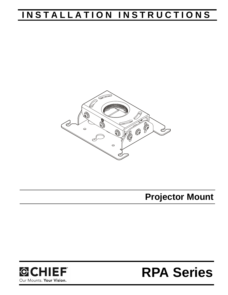## **INSTALLATION INSTRUCTIONS**



**Projector Mount**



# **RPA Series**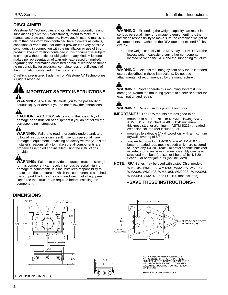#### **DISCLAIMER**

Milestone AV Technologies and its affiliated corporations and subsidiaries (collectively "Milestone"), intend to make this manual accurate and complete. However, Milestone makes no claim that the information contained herein covers all details, conditions or variations, nor does it provide for every possible contingency in connection with the installation or use of this product. The information contained in this document is subject to change without notice or obligation of any kind. Milestone makes no representation of warranty, expressed or implied, regarding the information contained herein. Milestone assumes no responsibility for accuracy, completeness or sufficiency of the information contained in this document.

Chief® is a registered trademark of Milestone AV Technologies. All rights reserved.



**WARNING:** A WARNING alerts you to the possibility of serious injury or death if you do not follow the instructions.

▲ **CAUTION:** A CAUTION alerts you to the possibility of damage or destruction of equipment if you do not follow the corresponding instructions.

**WARNING:** Failure to read, thoroughly understand, and follow all instructions can result in serious personal injury, damage to equipment, or voiding of factory warranty! It is the installer's responsibility to make sure all components are properly assembled and installed using the instructions provided.

**WARNING:** Failure to provide adequate structural strength for this component can result in serious personal injury or damage to equipment! It is the installer's responsibility to make sure the structure to which this component is attached can support five times the combined weight of all equipment. Reinforce the structure as required before installing the component.

**WARNING:** Exceeding the weight capacity can result in serious personal injury or damage to equipment! It is the installer's responsibility to make sure the combined weight of all components attached to the RPA does not exceed 50 lbs (22.7 kg).

The weight capacity of the RPA may be LIMITED to the lowest weight capacity of any other components located between the RPA and the supporting structure!

**WARNING:** Use this mounting system only for its intended use as described in these instructions. Do not use attachments not recommended by the manufacturer.

**WARNING:** Never operate this mounting system if it is damaged. Return the mounting system to a service center for examination and repair.

**WARNING:** Do not use this product outdoors.

**IMPORTANT ! :** The RPA mounts are designed to be:

- mounted to a 1-1/2" NPT or NPSM following ANSI/ ASME B1.20.1 (Schedule 40, 0.154" minimum thickness steel or aluminum - ASTM B221) threaded extension column (not included); or
- mounted to a double  $2" \times 4"$  wood joist with a maximum drywall covering of 5/8"; or
- suspended from four 1/4-20 Grade ASTM A307 or better threaded rods (not included) which are secured to unistrut by 1/4-20 Grade 2 or better channel nuts (not included), or to angle or channel assembly overhead structural members (trusses or I-beams) by 1/4-20 Grade 2 or better jam nuts (not included).
- **NOTE:** RPA Series may be used with Listed Chief models WM110S, WM120S, WM130S, WM210S, WM220S, WM230S, WM240S, WM210SI, WM220SI, WM230SI, WM240SI, CMA151, and LSB100 (not included).

#### **--SAVE THESE INSTRUCTIONS--**

### **DIMENSIONS**

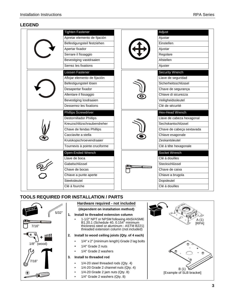#### **LEGEND**

|  | <b>Tighten Fastener</b>        |  |                      | Adjust                    |
|--|--------------------------------|--|----------------------|---------------------------|
|  | Apretar elemento de fijación   |  |                      | Ajustar                   |
|  | Befestigungsteil festziehen    |  |                      | Einstellen                |
|  | Apertar fixador                |  |                      | Ajustar                   |
|  | Serrare il fissaggio           |  |                      | Regolare                  |
|  | Bevestiging vastdraaien        |  |                      | Afstellen                 |
|  | Serrez les fixations           |  |                      | Ajuster                   |
|  | Loosen Fastener                |  |                      | <b>Security Wrench</b>    |
|  | Aflojar elemento de fijación   |  |                      | Llave de seguridad        |
|  | Befestigungsteil lösen         |  | Sicherheitsschlüssel |                           |
|  | Desapertar fixador             |  | Chave de segurança   |                           |
|  | Allentare il fissaggio         |  | Chiave di sicurezza  |                           |
|  | Bevestiging losdraaien         |  |                      | Veiligheidssleutel        |
|  | Desserrez les fixations        |  |                      | Clé de sécurité           |
|  |                                |  |                      |                           |
|  | <b>Phillips Screwdriver</b>    |  |                      | Hex-Head Wrench           |
|  | <b>Destornillador Phillips</b> |  |                      | Llave de cabeza hexagonal |
|  | Kreuzschlitzschraubendreher    |  |                      | Sechskantschlüssel        |
|  | Chave de fendas Phillips       |  |                      | Chave de cabeça sextavada |
|  | Cacciavite a stella            |  |                      | Chiave esagonale          |
|  | Kruiskopschroevendraaier       |  |                      | Zeskantsleutel            |
|  | Tournevis à pointe cruciforme  |  |                      | Clé à tête hexagonale     |
|  | Open-Ended Wrench              |  |                      | Socket Wrench             |
|  | Llave de boca                  |  |                      | Clé à douilles            |
|  | Gabelschlüssel                 |  |                      | Steckschlüssel            |
|  | Chave de bocas                 |  |                      | Chave de caixa            |
|  | Chiave a punte aperte          |  |                      | Chiave a brugola          |
|  | Steeksleutel                   |  |                      | Dopsleutel                |

## **TOOLS REQUIRED FOR INSTALLATION / PARTS**



|    |                                    | Hardware required - not included                                                                                                                                   |                          |
|----|------------------------------------|--------------------------------------------------------------------------------------------------------------------------------------------------------------------|--------------------------|
| ١H | (dependent on installation method) |                                                                                                                                                                    |                          |
|    | 1.                                 | Install to threaded extension column<br>1-1/2" NPT or NPSM following ANSI/ASME<br>B1.20.1 (Schedule 40, 0.154" minimum<br>thickness steel or aluminum - ASTM B221) | A (1<br>RP/              |
|    |                                    | threaded extension column (not included)                                                                                                                           |                          |
|    | 2.                                 | Install to wood ceiling joists (Qty. of 4 each)                                                                                                                    |                          |
|    |                                    | 1/4" x 2" (minimum length) Grade 2 lag bolts                                                                                                                       |                          |
|    |                                    | 1/4" Grade 2 nuts                                                                                                                                                  |                          |
|    |                                    | 1/4" Grade 2 washers                                                                                                                                               |                          |
|    | 3.                                 | Install to threaded rod                                                                                                                                            | ρ                        |
|    |                                    | $1/4-20$ steel threaded rods (Qty. 4)<br>$1/4 - 20$ Grade 2 channel nuts (Qty. 4)<br>$1/4 - 20$ Grade 2 jam nuts (Qty. 8)<br>$1/4$ " Grade 2 washers (Qty. 8)      | [Example of SLB bracket] |

 A (1) [RPA]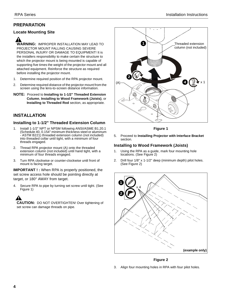#### **PREPARATION**

#### **Locate Mounting Site**

**WARNING:** IMPROPER INSTALLATION MAY LEAD TO PROJECTOR MOUNT FALLING CAUSING SEVERE PERSONAL INJURY OR DAMAGE TO EQUIPMENT! It is the installers responsibility to make certain the structure to which the projector mount is being mounted is capable of supporting five times the weight of the projector mount and all attached equipment. Reinforce the structure as required before installing the projector mount.

- 1. Determine required position of the RPA projector mount.
- 2. Determine required distance of the projector mount from the screen using the lens-to-screen distance information.
- **NOTE:** Proceed to **Installing to 1-1/2" Threaded Extension Column**, **Installing to Wood Framework (Joists)**, or **Installing to Threaded Rod** section, as appropriate.

#### **INSTALLATION**

#### **Installing to 1-1/2" Threaded Extension Column**

- 1. Install 1-1/2" NPT or NPSM following ANSI/ASME B1.20.1 (Schedule 40, 0.154" minimum thickness steel or aluminum - ASTM B221) threaded extension column (not included) into threaded collar until tight, with a minimum of four threads engaged.
- 2. Thread RPA projector mount (A) onto the threaded extension column (not included) until hand tight, with a minimum of four threads engaged.
- 3. Turn RPA clockwise or counter-clockwise until front of mount is facing target.

**IMPORTANT ! :** When RPA is properly positioned, the set screw access hole should be pointing directly at target, or 180° AWAY from target.

4. Secure RPA to pipe by turning set screw until tight. (See Figure 1)

**CAUTION:** DO NOT OVERTIGHTEN! Over tightening of set screw can damage threads on pipe.



**Figure 1**

5. Proceed to **Installing Projector with Interface Bracket** section.

#### **Installing to Wood Framework (Joists)**

- 1. Using the RPA as a guide, mark four mounting hole locations. (See Figure 2)
- 2. Drill four 1/8" x 1-1/2" deep (minimum depth) pilot holes. (See Figure 2)



#### **Figure 2**

3. Align four mounting holes in RPA with four pilot holes.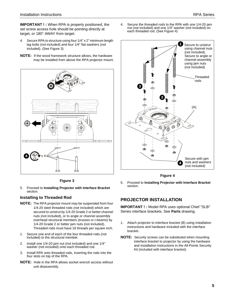**IMPORTANT ! :** When RPA is properly positioned, the set screw access hole should be pointing directly at target, or 180° AWAY from target.

- 4. Secure RPA to structure using four 1/4" x 2" minimum length lag bolts (not included) and four 1/4" flat washers (not included). (See Figure 3)
- **NOTE:** If the wood framework structure allows, the hardware may be installed from above the RPA projector mount.



**Figure 3**

5. Proceed to **Installing Projector with Interface Bracket** section.

#### **Installing to Threaded Rod**

- **NOTE:** The RPA projector mount may be suspended from four 1/4-20 steel threaded rods (not included) which are secured to unistrut by 1/4-20 Grade 2 or better channel nuts (not included), or to angle or channel assembly overhead structural members (trusses or I-beams) by 1/4-20 Grade 2 or better jam nuts (not included). Threaded rods must have 16 threads per square inch.
- 1. Secure one end of each of the four threaded rods (not included) to the structural member.
- 2. Install one 1/4-20 jam nut (not included) and one 1/4" washer (not included) onto each threaded rod.
- 3. Install RPA onto threaded rods, inserting the rods into the four slots on top of the RPA.
- **NOTE:** Hole in the RPA allows socket wrench access without unit disassembly.

4. Secure the threaded rods to the RPA with one 1/4-20 jam nut (not included) and one 1/4" washer (not included) on each threaded rod. (See Figure 4)



**Figure 4**

5. Proceed to **Installing Projector with Interface Bracket** section.

#### **PROJECTOR INSTALLATION**

**IMPORTANT ! :** Model RPA uses optional Chief "SLB" Series interface brackets. See **Parts** drawing.

- 1. Attach projector to interface bracket (B) using installation instructions and hardware included with the interface bracket.
- **NOTE:** Security screws can be substituted when mounting interface bracket to projector by using the hardware and installation instructions in the All-Points Security Kit (included with interface bracket).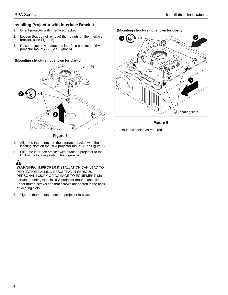#### **Installing Projector with Interface Bracket**

- 1. Orient projector with interface bracket.
- 2. Loosen (but do not remove) thumb nuts on the interface bracket. (See Figure 5)
- 3. Raise projector with attached interface bracket to RPA projector mount (A). (See Figure 5)





**Figure 6**

7. Route all cables as required.

**Figure 5**

- 4. Align the thumb nuts on the interface bracket with the locating slots on the RPA projector mount. (See Figure 6)
- 5. Slide the interface bracket with attached projector to the limit of the locating slots. (See Figure 6)

**WARNING:** IMPROPER INSTALLATION CAN LEAD TO PROJECTOR FALLING RESULTING IN SERIOUS PERSONAL INJURY OR DAMAGE TO EQUIPMENT. Make certain mounting slots in RPA projector mount base slide under thumb screws and that screws are seated in the back of locating slots.

6. Tighten thumb nuts to secure projector in place.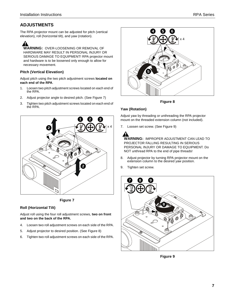The RPA projector mount can be adjusted for pitch (vertical elevation), roll (horizontal tilt), and yaw (rotation).

**WARNING:** OVER-LOOSENING OR REMOVAL OF HARDWARE MAY RESULT IN PERSONAL INJURY OR SERIOUS DAMAGE TO EQUIPMENT! RPA projector mount and hardware is to be loosened only enough to allow for necessary movement.

#### **Pitch (Vertical Elevation)**

Adjust pitch using the two pitch adjustment screws **located on each end of the RPA**.

- 1. Loosen two pitch adjustment screws located on each end of the RPA.
- 2. Adjust projector angle to desired pitch. (See Figure 7)
- 3. Tighten two pitch adjustment screws located on each end of the RPA.





#### **Roll (Horizontal Tilt)**

Adjust roll using the four roll adjustment screws, **two on front and two on the back of the RPA.**

- 4. Loosen two roll adjustment screws on each side of the RPA.
- 5. Adjust projector to desired position. (See Figure 8)
- 6. Tighten two roll adjustment screws on each side of the RPA.



**Figure 8**

#### **Yaw (Rotation)**

Adjust yaw by threading or unthreading the RPA projector mount on the threaded extension column (not included).

7. Loosen set screw. (See Figure 9)

**WARNING:** IMPROPER ADJUSTMENT CAN LEAD TO PROJECTOR FALLING RESULTING IN SERIOUS PERSONAL INJURY OR DAMAGE TO EQUIPMENT. Do NOT unthread RPA to the end of pipe threads!

- 8. Adjust projector by turning RPA projector mount on the extension column to the desired yaw position.
- 9. Tighten set screw.



**Figure 9**